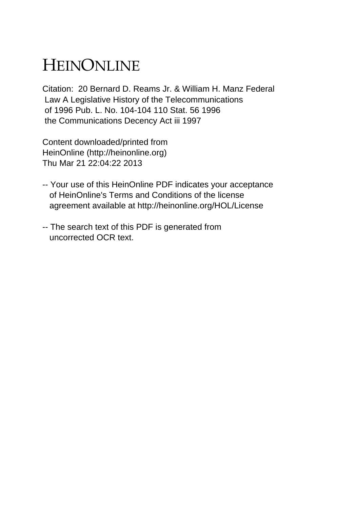## HEINONLINE

Citation: 20 Bernard D. Reams Jr. & William H. Manz Federal Law A Legislative History of the Telecommunications of 1996 Pub. L. No. 104-104 110 Stat. 56 1996 the Communications Decency Act iii 1997

Content downloaded/printed from HeinOnline (http://heinonline.org) Thu Mar 21 22:04:22 2013

- -- Your use of this HeinOnline PDF indicates your acceptance of HeinOnline's Terms and Conditions of the license agreement available at http://heinonline.org/HOL/License
- -- The search text of this PDF is generated from uncorrected OCR text.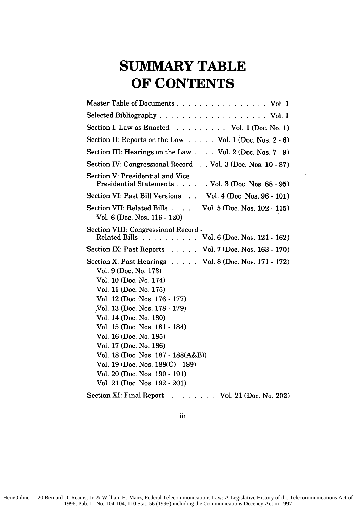## **SUMMARY TABLE OF CONTENTS**

| Master Table of Documents Vol. 1                                                                                                                                                                                                                                                                                                                                                                                                                                |
|-----------------------------------------------------------------------------------------------------------------------------------------------------------------------------------------------------------------------------------------------------------------------------------------------------------------------------------------------------------------------------------------------------------------------------------------------------------------|
|                                                                                                                                                                                                                                                                                                                                                                                                                                                                 |
| Section I: Law as Enacted Vol. 1 (Doc. No. 1)                                                                                                                                                                                                                                                                                                                                                                                                                   |
| Section II: Reports on the Law $\ldots$ . Vol. 1 (Doc. Nos. 2 - 6)                                                                                                                                                                                                                                                                                                                                                                                              |
| Section III: Hearings on the Law $\ldots$ Vol. 2 (Doc. Nos. 7 - 9)                                                                                                                                                                                                                                                                                                                                                                                              |
| Section IV: Congressional Record Vol. 3 (Doc. Nos. 10 - 87)                                                                                                                                                                                                                                                                                                                                                                                                     |
| Section V: Presidential and Vice<br>Presidential Statements Vol. 3 (Doc. Nos. 88 - 95)                                                                                                                                                                                                                                                                                                                                                                          |
| Section VI: Past Bill Versions Vol. 4 (Doc. Nos. 96 - 101)                                                                                                                                                                                                                                                                                                                                                                                                      |
| Section VII: Related Bills Vol. 5 (Doc. Nos. 102 - 115)<br>Vol. 6 (Doc. Nos. 116 - 120)                                                                                                                                                                                                                                                                                                                                                                         |
| Section VIII: Congressional Record -<br>Related Bills Vol. 6 (Doc. Nos. 121 - 162)                                                                                                                                                                                                                                                                                                                                                                              |
| Section IX: Past Reports Vol. 7 (Doc. Nos. 163 - 170)                                                                                                                                                                                                                                                                                                                                                                                                           |
| Section X: Past Hearings Vol. 8 (Doc. Nos. 171 - 172)<br>Vol. 9 (Doc. No. 173)<br>Vol. 10 (Doc. No. 174)<br>Vol. 11 (Doc. No. 175)<br>Vol. 12 (Doc. Nos. 176 - 177)<br>Vol. 13 (Doc. Nos. 178 - 179)<br>Vol. 14 (Doc. No. 180)<br>Vol. 15 (Doc. Nos. 181 - 184)<br>Vol. 16 (Doc. No. 185)<br>Vol. 17 (Doc. No. 186)<br>Vol. 18 (Doc. Nos. 187 - 188(A&B))<br>Vol. 19 (Doc. Nos. 188(C) - 189)<br>Vol. 20 (Doc. Nos. 190 - 191)<br>Vol. 21 (Doc. Nos. 192 - 201) |
| <b>Section XI: Final Report</b><br>$\ldots$ Vol. 21 (Doc. No. 202)                                                                                                                                                                                                                                                                                                                                                                                              |

 $\cdot$